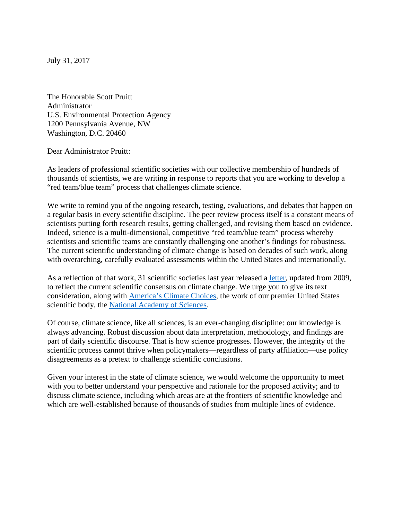July 31, 2017

The Honorable Scott Pruitt Administrator U.S. Environmental Protection Agency 1200 Pennsylvania Avenue, NW Washington, D.C. 20460

Dear Administrator Pruitt:

As leaders of professional scientific societies with our collective membership of hundreds of thousands of scientists, we are writing in response to reports that you are working to develop a "red team/blue team" process that challenges climate science.

We write to remind you of the ongoing research, testing, evaluations, and debates that happen on a regular basis in every scientific discipline. The peer review process itself is a constant means of scientists putting forth research results, getting challenged, and revising them based on evidence. Indeed, science is a multi-dimensional, competitive "red team/blue team" process whereby scientists and scientific teams are constantly challenging one another's findings for robustness. The current scientific understanding of climate change is based on decades of such work, along with overarching, carefully evaluated assessments within the United States and internationally.

As a reflection of that work, 31 scientific societies last year released a [letter,](https://www.aaas.org/sites/default/files/06282016.pdf) updated from 2009, to reflect the current scientific consensus on climate change. We urge you to give its text consideration, along with [America's Climate Choices](https://www.nap.edu/catalog/12781/americas-climate-choices)*,* the work of our premier United States scientific body, the [National Academy of Sciences.](http://nas-sites.org/americasclimatechoices/other-reports-on-climate-change/)

Of course, climate science, like all sciences, is an ever-changing discipline: our knowledge is always advancing. Robust discussion about data interpretation, methodology, and findings are part of daily scientific discourse. That is how science progresses. However, the integrity of the scientific process cannot thrive when policymakers—regardless of party affiliation—use policy disagreements as a pretext to challenge scientific conclusions.

Given your interest in the state of climate science, we would welcome the opportunity to meet with you to better understand your perspective and rationale for the proposed activity; and to discuss climate science, including which areas are at the frontiers of scientific knowledge and which are well-established because of thousands of studies from multiple lines of evidence.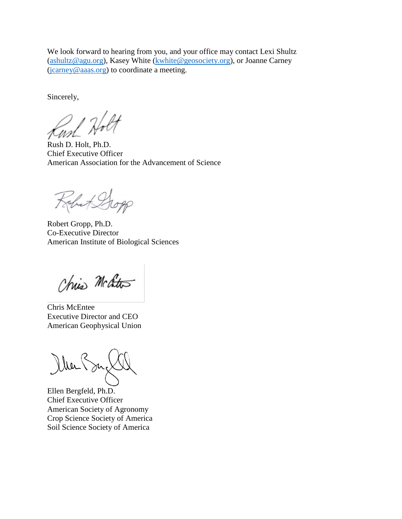We look forward to hearing from you, and your office may contact Lexi Shultz [\(ashultz@agu.org\)](mailto:ashultz@agu.org), Kasey White [\(kwhite@geosociety.org\)](mailto:kwhite@geosociety.org), or Joanne Carney [\(jcarney@aaas.org\)](mailto:jcarney@aaas.org) to coordinate a meeting.

Sincerely,

Rush D. Holt

Chief Executive Officer American Association for the Advancement of Science

Kobet Dopp

Robert Gropp, Ph.D. Co-Executive Director American Institute of Biological Sciences

Chris McCitto

Chris McEntee Executive Director and CEO American Geophysical Union

Dher Su

Ellen Bergfeld, Ph.D. Chief Executive Officer American Society of Agronomy Crop Science Society of America Soil Science Society of America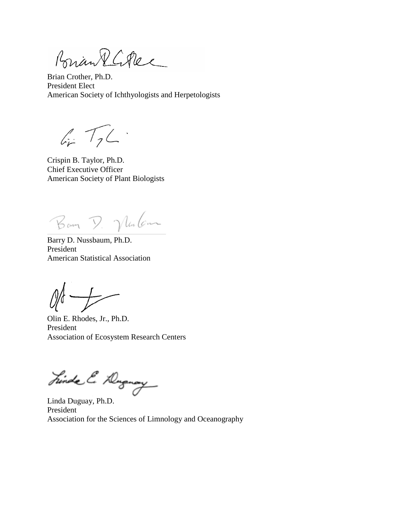Brian RGPec

Brian Crother, Ph.D. President Elect American Society of Ichthyologists and Herpetologists

 $4.72$ 

Crispin B. Taylor, Ph.D. Chief Executive Officer American Society of Plant Biologists

Bam D. Mulan

Barry D. Nussbaum, Ph.D. President American Statistical Association

Olin E. Rhodes, Jr., Ph.D. President Association of Ecosystem Research Centers

Finda & Dugmay

Linda Duguay, Ph.D. President Association for the Sciences of Limnology and Oceanography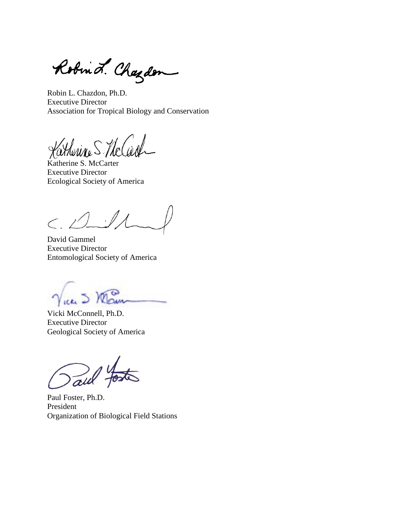Robind. Chazden  $\overline{\phantom{0}}$ 

Robin L. Chazdon, Ph.D. Executive Director Association for Tropical Biology and Conservation

thenne S The Cas

Katherine S. McCarter Executive Director Ecological Society of America

 $\lt$ ,  $\bigtriangleup$ 

David Gammel Executive Director Entomological Society of America

Vicki McConnell, Ph.D. Executive Director Geological Society of America

aw

Paul Foster, Ph.D. President Organization of Biological Field Stations